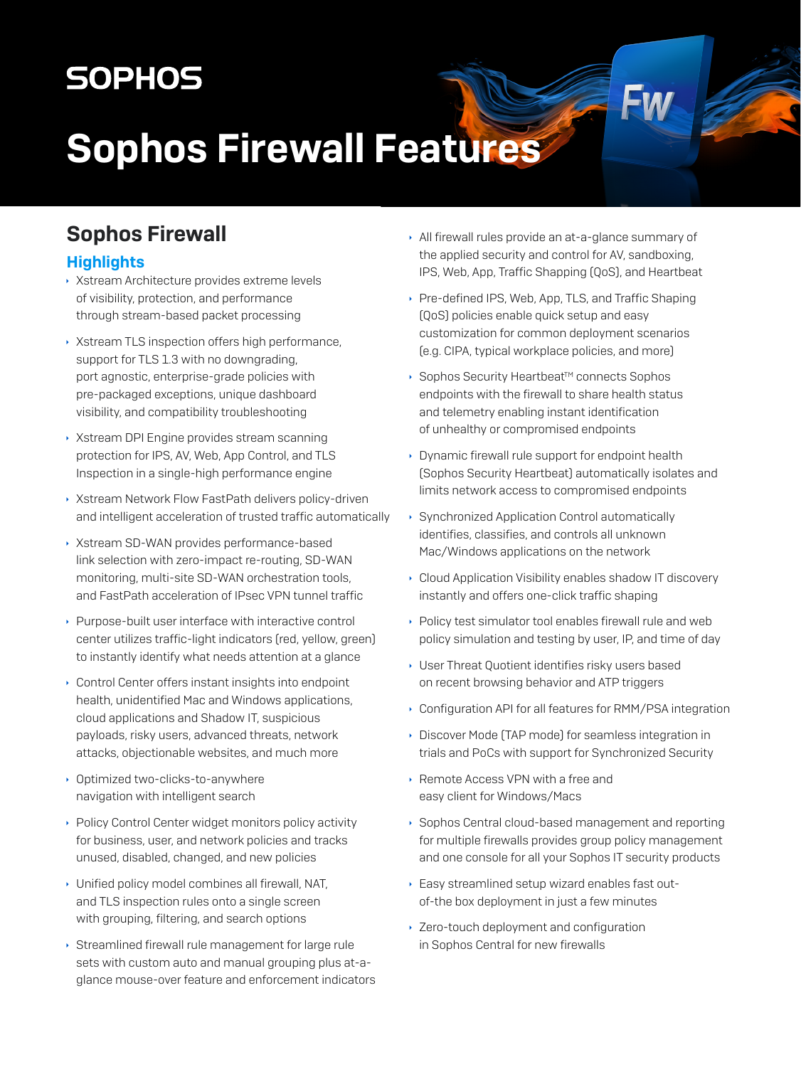## **SOPHOS**

# **Sophos Firewall Features**

## **Sophos Firewall**

#### **Highlights**

- ▶ Xstream Architecture provides extreme levels of visibility, protection, and performance through stream-based packet processing
- ▶ Xstream TLS inspection offers high performance, support for TLS 1.3 with no downgrading, port agnostic, enterprise-grade policies with pre-packaged exceptions, unique dashboard visibility, and compatibility troubleshooting
- ▶ Xstream DPI Engine provides stream scanning protection for IPS, AV, Web, App Control, and TLS Inspection in a single-high performance engine
- ▶ Xstream Network Flow FastPath delivers policy-driven and intelligent acceleration of trusted traffic automatically
- ▶ Xstream SD-WAN provides performance-based link selection with zero-impact re-routing, SD-WAN monitoring, multi-site SD-WAN orchestration tools, and EastPath acceleration of IPsec VPN tunnel traffic
- ▶ Purpose-built user interface with interactive control center utilizes traffic-light indicators (red, yellow, green) to instantly identify what needs attention at a glance
- ▶ Control Center offers instant insights into endpoint health, unidentified Mac and Windows applications, cloud applications and Shadow IT, suspicious payloads, risky users, advanced threats, network attacks, objectionable websites, and much more
- Optimized two-clicks-to-anywhere navigation with intelligent search
- ▶ Policy Control Center widget monitors policy activity for business, user, and network policies and tracks unused, disabled, changed, and new policies
- Unified policy model combines all firewall, NAT, and TLS inspection rules onto a single screen with grouping, filtering, and search options
- Streamlined firewall rule management for large rule sets with custom auto and manual grouping plus at-aglance mouse-over feature and enforcement indicators
- All firewall rules provide an at-a-glance summary of the applied security and control for AV, sandboxing, IPS, Web, App, Traffic Shapping (QoS), and Heartbeat
- ▶ Pre-defined IPS, Web, App, TLS, and Traffic Shaping (QoS) policies enable quick setup and easy customization for common deployment scenarios (e.g. CIPA, typical workplace policies, and more)
- ▶ Sophos Security Heartbeat<sup>™</sup> connects Sophos endpoints with the firewall to share health status and telemetry enabling instant identification of unhealthy or compromised endpoints
- Dynamic firewall rule support for endpoint health (Sophos Security Heartbeat) automatically isolates and limits network access to compromised endpoints
- ▶ Synchronized Application Control automatically identifies, classifies, and controls all unknown Mac/Windows applications on the network
- Cloud Application Visibility enables shadow IT discovery instantly and offers one-click traffic shaping
- ▶ Policy test simulator tool enables firewall rule and web policy simulation and testing by user, IP, and time of day
- User Threat Quotient identifies risky users based on recent browsing behavior and ATP triggers
- ▶ Configuration API for all features for RMM/PSA integration
- Discover Mode (TAP mode) for seamless integration in trials and PoCs with support for Synchronized Security
- ▶ Remote Access VPN with a free and easy client for Windows/Macs
- Sophos Central cloud-based management and reporting for multiple firewalls provides group policy management and one console for all your Sophos IT security products
- ▶ Easy streamlined setup wizard enables fast outof-the box deployment in just a few minutes
- ▸ Zero-touch deployment and configuration in Sophos Central for new firewalls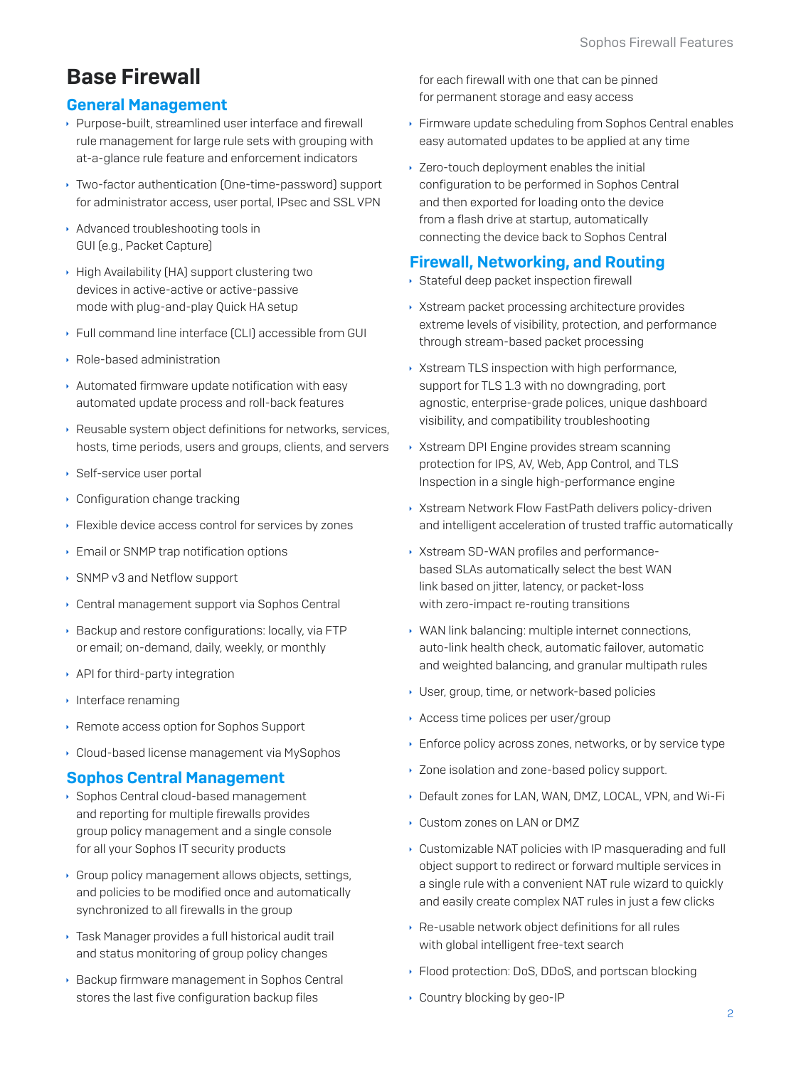## **Base Firewall**

#### **General Management**

- ▶ Purpose-built, streamlined user interface and firewall rule management for large rule sets with grouping with at-a-glance rule feature and enforcement indicators
- ▶ Two-factor authentication (One-time-password) support for administrator access, user portal, IPsec and SSL VPN
- Advanced troubleshooting tools in GUI (e.g., Packet Capture)
- High Availability (HA) support clustering two devices in active-active or active-passive mode with plug-and-play Quick HA setup
- ▶ Full command line interface [CLI] accessible from GUI
- ▶ Role-based administration
- Automated firmware update notification with easy automated update process and roll-back features
- ▶ Reusable system object definitions for networks, services, hosts, time periods, users and groups, clients, and servers
- ▶ Self-service user portal
- Configuration change tracking
- ▶ Flexible device access control for services by zones
- Email or SNMP trap notification options
- SNMP v3 and Netflow support
- Central management support via Sophos Central
- ▶ Backup and restore configurations: locally, via FTP or email; on-demand, daily, weekly, or monthly
- API for third-party integration
- $\cdot$  Interface renaming
- ▸ Remote access option for Sophos Support
- ▶ Cloud-based license management via MySophos

#### **Sophos Central Management**

- ▶ Sophos Central cloud-based management and reporting for multiple firewalls provides group policy management and a single console for all your Sophos IT security products
- ▶ Group policy management allows objects, settings, and policies to be modified once and automatically synchronized to all firewalls in the group
- ▶ Task Manager provides a full historical audit trail and status monitoring of group policy changes
- ▶ Backup firmware management in Sophos Central stores the last five configuration backup files

for each firewall with one that can be pinned for permanent storage and easy access

- Eirmware update scheduling from Sophos Central enables easy automated updates to be applied at any time
- ▸ Zero-touch deployment enables the initial configuration to be performed in Sophos Central and then exported for loading onto the device from a flash drive at startup, automatically connecting the device back to Sophos Central

#### **Firewall, Networking, and Routing**

- Stateful deep packet inspection firewall
- ▶ Xstream packet processing architecture provides extreme levels of visibility, protection, and performance through stream-based packet processing
- ▶ Xstream TLS inspection with high performance, support for TLS 1.3 with no downgrading, port agnostic, enterprise-grade polices, unique dashboard visibility, and compatibility troubleshooting
- ▶ Xstream DPI Engine provides stream scanning protection for IPS, AV, Web, App Control, and TLS Inspection in a single high-performance engine
- ▶ Xstream Network Flow FastPath delivers policy-driven and intelligent acceleration of trusted traffic automatically
- > Xstream SD-WAN profiles and performancebased SLAs automatically select the best WAN link based on jitter, latency, or packet-loss with zero-impact re-routing transitions
- ▶ WAN link balancing: multiple internet connections. auto-link health check, automatic failover, automatic and weighted balancing, and granular multipath rules
- ▶ User, group, time, or network-based policies
- Access time polices per user/group
- Enforce policy across zones, networks, or by service type
- ▶ Zone isolation and zone-based policy support.
- Default zones for LAN, WAN, DMZ, LOCAL, VPN, and Wi-Fi
- Custom zones on LAN or DMZ
- ▶ Customizable NAT policies with IP masquerading and full object support to redirect or forward multiple services in a single rule with a convenient NAT rule wizard to quickly and easily create complex NAT rules in just a few clicks
- Re-usable network object definitions for all rules with global intelligent free-text search
- ▶ Flood protection: DoS, DDoS, and portscan blocking
- Country blocking by geo-IP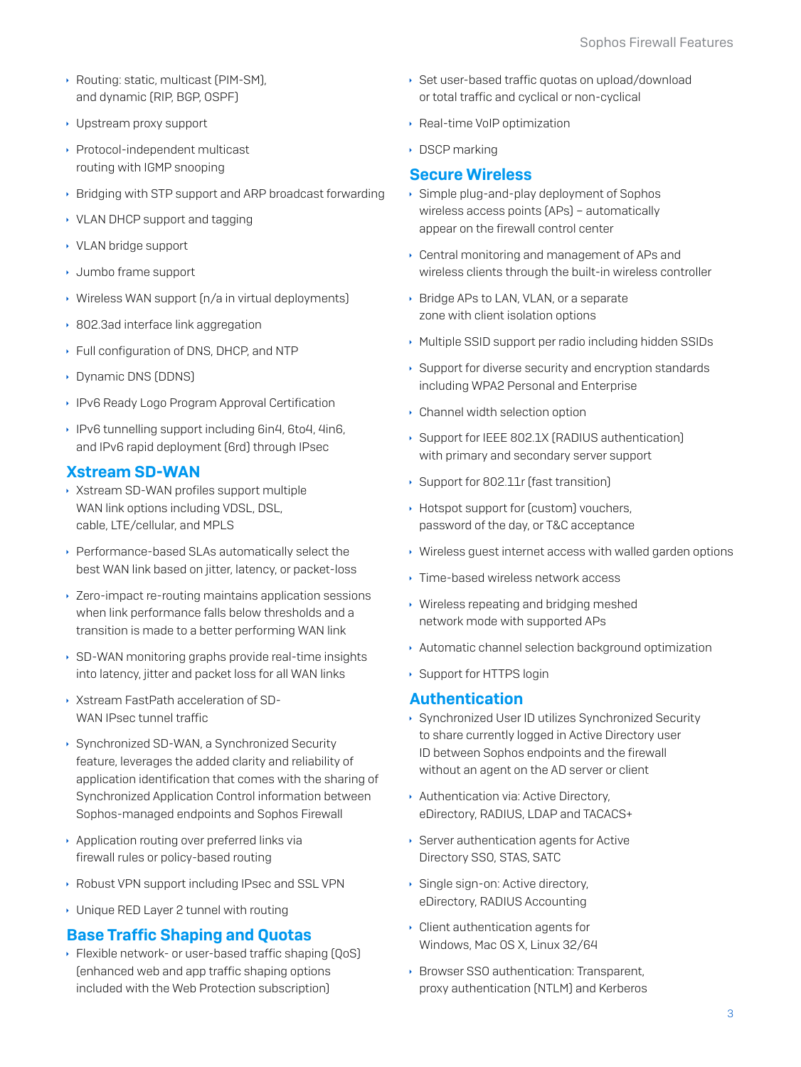- ▶ Routing: static, multicast [PIM-SM], and dynamic (RIP, BGP, OSPF)
- Upstream proxy support
- ▶ Protocol-independent multicast routing with IGMP snooping
- ▶ Bridging with STP support and ARP broadcast forwarding
- ▸ VLAN DHCP support and tagging
- ▸ VLAN bridge support
- ▸ Jumbo frame support
- ▶ Wireless WAN support (n/a in virtual deployments)
- ▶ 802.3ad interface link aggregation
- ▶ Full configuration of DNS, DHCP, and NTP
- Dynamic DNS (DDNS)
- ▶ IPv6 Ready Logo Program Approval Certification
- ▶ IPv6 tunnelling support including 6in4, 6to4, 4in6, and IPv6 rapid deployment (6rd) through IPsec

#### **Xstream SD-WAN**

- ▶ Xstream SD-WAN profiles support multiple WAN link options including VDSL, DSL, cable, LTE/cellular, and MPLS
- ▶ Performance-based SLAs automatically select the best WAN link based on jitter, latency, or packet-loss
- ▸ Zero-impact re-routing maintains application sessions when link performance falls below thresholds and a transition is made to a better performing WAN link
- ▶ SD-WAN monitoring graphs provide real-time insights into latency, jitter and packet loss for all WAN links
- ▶ Xstream FastPath acceleration of SD-WAN IPsec tunnel traffic
- ▶ Synchronized SD-WAN, a Synchronized Security feature, leverages the added clarity and reliability of application identification that comes with the sharing of Synchronized Application Control information between Sophos-managed endpoints and Sophos Firewall
- Application routing over preferred links via firewall rules or policy-based routing
- ▶ Robust VPN support including IPsec and SSL VPN
- ▶ Unique RED Layer 2 tunnel with routing

#### **Base Traffic Shaping and Quotas**

▶ Flexible network- or user-based traffic shaping [QoS] fenhanced web and app traffic shaping options included with the Web Protection subscription]

- ▶ Set user-based traffic quotas on upload/download or total traffic and cyclical or non-cyclical
- ▶ Real-time VoIP optimization
- ▶ DSCP marking

#### **Secure Wireless**

- Simple plug-and-play deployment of Sophos wireless access points [APs] - automatically appear on the firewall control center
- ▸ Central monitoring and management of APs and wireless clients through the built-in wireless controller
- ▶ Bridge APs to LAN, VLAN, or a separate zone with client isolation options
- Multiple SSID support per radio including hidden SSIDs
- ▶ Support for diverse security and encryption standards including WPA2 Personal and Enterprise
- Channel width selection option
- Support for IEEE 802.1X (RADIUS authentication) with primary and secondary server support
- ▶ Support for 802.11r (fast transition)
- Hotspot support for [custom] vouchers, password of the day, or T&C acceptance
- ▶ Wireless guest internet access with walled garden options
- ▸ Time-based wireless network access
- ▸ Wireless repeating and bridging meshed network mode with supported APs
- Automatic channel selection background optimization
- ▶ Support for HTTPS login

#### **Authentication**

- ▶ Synchronized User ID utilizes Synchronized Security to share currently logged in Active Directory user ID between Sophos endpoints and the firewall without an agent on the AD server or client
- Authentication via: Active Directory, eDirectory, RADIUS, LDAP and TACACS+
- ▶ Server authentication agents for Active Directory SSO, STAS, SATC
- Single sign-on: Active directory, eDirectory, RADIUS Accounting
- Client authentication agents for Windows, Mac OS X, Linux 32/64
- ▶ Browser SSO authentication: Transparent. proxy authentication (NTLM) and Kerberos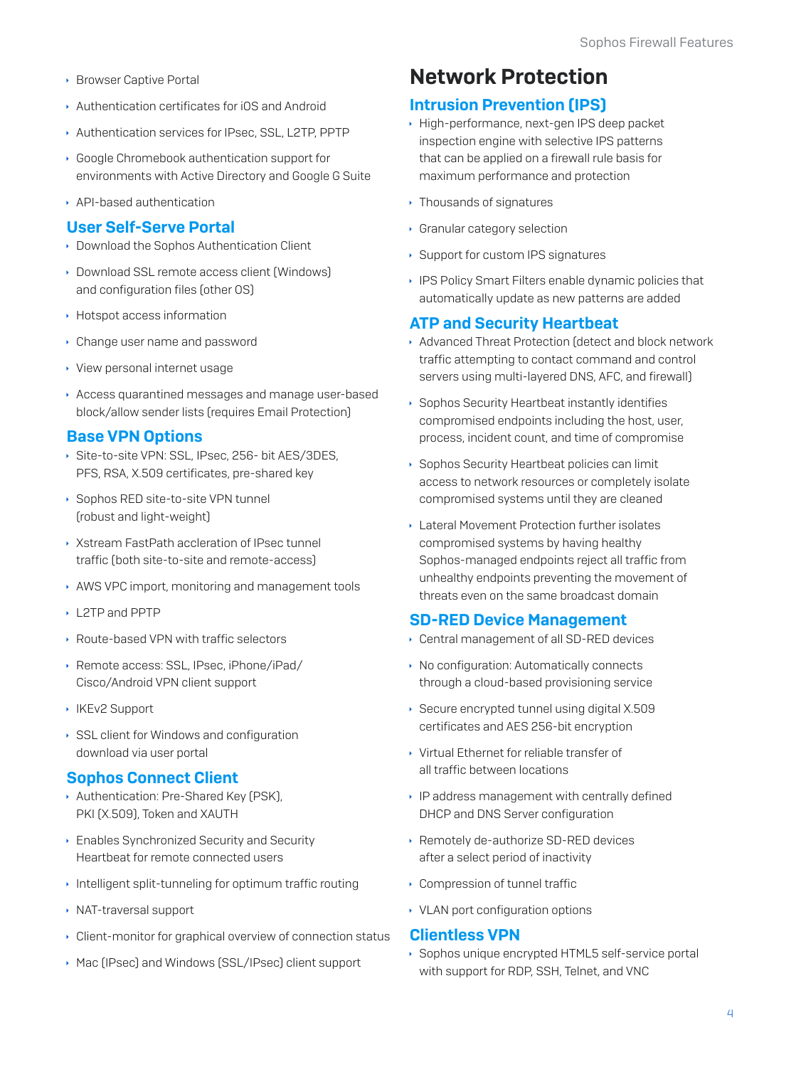- ▶ Browser Captive Portal
- Authentication certificates for iOS and Android
- Authentication services for IPsec, SSL, L2TP, PPTP
- ▶ Google Chromebook authentication support for environments with Active Directory and Google G Suite
- API-based authentication

#### **User Self-Serve Portal**

- ▶ Download the Sophos Authentication Client
- Download SSL remote access client [Windows] and configuration files (other OS)
- ▶ Hotspot access information
- Change user name and password
- ▸ View personal internet usage
- Access quarantined messages and manage user-based block/allow sender lists (requires Email Protection)

#### **Base VPN Options**

- Site-to-site VPN: SSL, IPsec, 256- bit AES/3DES, PFS, RSA, X.509 certificates, pre-shared key
- ▶ Sophos RED site-to-site VPN tunnel (robust and light-weight)
- ▶ Xstream EastPath accleration of IPsec tunnel traffic (both site-to-site and remote-access)
- AWS VPC import, monitoring and management tools
- ▶ 12TP and PPTP
- ▶ Route-based VPN with traffic selectors
- ▶ Remote access: SSL, IPsec, iPhone/iPad/ Cisco/Android VPN client support
- ▶ IKEv2 Support
- SSL client for Windows and configuration download via user portal

#### **Sophos Connect Client**

- Authentication: Pre-Shared Key [PSK], PKI (X.509), Token and XAUTH
- Enables Synchronized Security and Security Heartbeat for remote connected users
- Intelligent split-tunneling for optimum traffic routing
- ▶ NAT-traversal support
- Client-monitor for graphical overview of connection status
- ▶ Mac (IPsec) and Windows (SSL/IPsec) client support

### **Network Protection**

#### **Intrusion Prevention (IPS)**

- High-performance, next-gen IPS deep packet inspection engine with selective IPS patterns that can be applied on a firewall rule basis for maximum performance and protection
- ▸ Thousands of signatures
- Granular category selection
- ▶ Support for custom IPS signatures
- ▶ IPS Policy Smart Filters enable dynamic policies that automatically update as new patterns are added

#### **ATP and Security Heartbeat**

- Advanced Threat Protection (detect and block network traffic attempting to contact command and control servers using multi-layered DNS, AFC, and firewall)
- ▶ Sophos Security Heartbeat instantly identifies compromised endpoints including the host, user, process, incident count, and time of compromise
- ▶ Sophos Security Heartbeat policies can limit access to network resources or completely isolate compromised systems until they are cleaned
- Lateral Movement Protection further isolates compromised systems by having healthy Sophos-managed endpoints reject all traffic from unhealthy endpoints preventing the movement of threats even on the same broadcast domain

#### **SD-RED Device Management**

- Central management of all SD-RED devices
- ▶ No configuration: Automatically connects through a cloud-based provisioning service
- ▶ Secure encrypted tunnel using digital X.509 certificates and AES 256-bit encryption
- ▸ Virtual Ethernet for reliable transfer of all traffic between locations
- IP address management with centrally defined DHCP and DNS Server configuration
- ▶ Remotely de-authorize SD-RED devices after a select period of inactivity
- ▸ Compression of tunnel traffic
- ▸ VLAN port configuration options

#### **Clientless VPN**

Sophos unique encrypted HTML5 self-service portal with support for RDP, SSH, Telnet, and VNC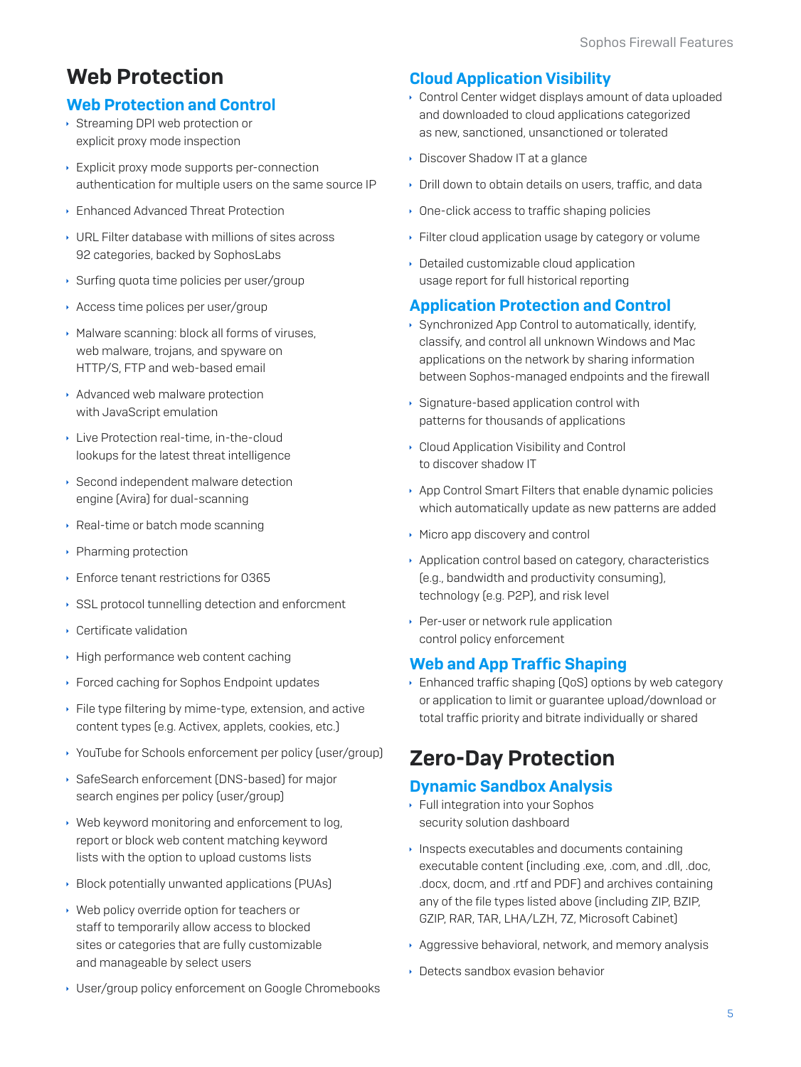## **Web Protection**

#### **Web Protection and Control**

- ▶ Streaming DPI web protection or explicit proxy mode inspection
- Explicit proxy mode supports per-connection authentication for multiple users on the same source IP
- ▶ Enhanced Advanced Threat Protection
- ▸ URL Filter database with millions of sites across 92 categories, backed by SophosLabs
- ▶ Surfing quota time policies per user/group
- Access time polices per user/group
- Malware scanning: block all forms of viruses, web malware, trojans, and spyware on HTTP/S, FTP and web-based email
- Advanced web malware protection with JavaScript emulation
- Live Protection real-time, in-the-cloud lookups for the latest threat intelligence
- ▶ Second independent malware detection engine (Avira) for dual-scanning
- Real-time or batch mode scanning
- ▶ Pharming protection
- Enforce tenant restrictions for 0365
- SSL protocol tunnelling detection and enforcment
- ▶ Certificate validation
- High performance web content caching
- ▶ Forced caching for Sophos Endpoint updates
- File type filtering by mime-type, extension, and active content types (e.g. Activex, applets, cookies, etc.)
- ▸ YouTube for Schools enforcement per policy (user/group)
- SafeSearch enforcement (DNS-based) for major search engines per policy (user/group)
- ▶ Web keyword monitoring and enforcement to log, report or block web content matching keyword lists with the option to upload customs lists
- ▶ Block potentially unwanted applications (PUAs)
- ▶ Web policy override option for teachers or staff to temporarily allow access to blocked sites or categories that are fully customizable and manageable by select users
- ▶ User/group policy enforcement on Google Chromebooks

#### **Cloud Application Visibility**

- Control Center widget displays amount of data uploaded and downloaded to cloud applications categorized as new, sanctioned, unsanctioned or tolerated
- Discover Shadow IT at a glance
- Drill down to obtain details on users, traffic, and data
- ▶ One-click access to traffic shaping policies
- Eilter cloud application usage by category or volume
- Detailed customizable cloud application usage report for full historical reporting

#### **Application Protection and Control**

- ▶ Synchronized App Control to automatically, identify, classify, and control all unknown Windows and Mac applications on the network by sharing information between Sophos-managed endpoints and the firewall
- Signature-based application control with patterns for thousands of applications
- Cloud Application Visibility and Control to discover shadow IT
- App Control Smart Filters that enable dynamic policies which automatically update as new patterns are added
- Micro app discovery and control
- Application control based on category, characteristics (e.g., bandwidth and productivity consuming), technology (e.g. P2P), and risk level
- ▶ Per-user or network rule application control policy enforcement

#### **Web and App Traffic Shaping**

▶ Enhanced traffic shaping [QoS] options by web category or application to limit or quarantee upload/download or total traffic priority and bitrate individually or shared

## **Zero-Day Protection**

#### **Dynamic Sandbox Analysis**

- ▶ Full integration into your Sophos security solution dashboard
- Inspects executables and documents containing executable content (including .exe, .com, and .dll, .doc, .docx, docm, and .rtf and PDF) and archives containing any of the file types listed above (including ZIP, BZIP, GZIP, RAR, TAR, LHA/LZH, 7Z, Microsoft Cabinet)
- Aggressive behavioral, network, and memory analysis
- Detects sandbox evasion behavior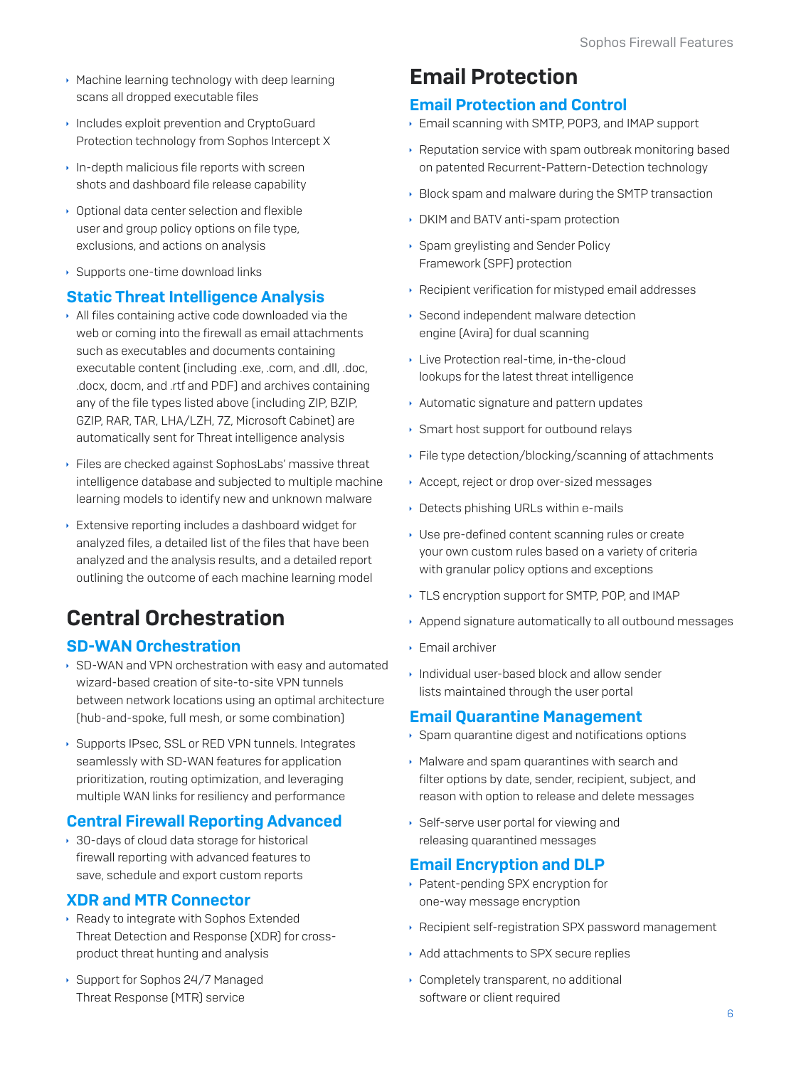- ▶ Machine learning technology with deep learning scans all dropped executable files
- Includes exploit prevention and CryptoGuard Protection technology from Sophos Intercept X
- In-depth malicious file reports with screen shots and dashboard file release capability
- Optional data center selection and flexible user and group policy options on file type, exclusions, and actions on analysis
- ▶ Supports one-time download links

#### **Static Threat Intelligence Analysis**

- All files containing active code downloaded via the web or coming into the firewall as email attachments such as executables and documents containing executable content (including .exe, .com, and .dll, .doc, .docx, docm, and .rtf and PDF) and archives containing any of the file types listed above (including ZIP, BZIP, GZIP, RAR, TAR, LHA/LZH, 7Z, Microsoft Cabinet) are automatically sent for Threat intelligence analysis
- Eiles are checked against SophosLabs' massive threat intelligence database and subjected to multiple machine learning models to identify new and unknown malware
- Extensive reporting includes a dashboard widget for analyzed files, a detailed list of the files that have been analyzed and the analysis results, and a detailed report outlining the outcome of each machine learning model

## **Central Orchestration**

#### **SD-WAN Orchestration**

- ▶ SD-WAN and VPN orchestration with easy and automated wizard-based creation of site-to-site VPN tunnels between network locations using an optimal architecture [hub-and-spoke, full mesh, or some combination]
- ▶ Supports IPsec, SSL or RED VPN tunnels, Integrates seamlessly with SD-WAN features for application prioritization, routing optimization, and leveraging multiple WAN links for resiliency and performance

#### **Central Firewall Reporting Advanced**

▶ 30-days of cloud data storage for historical firewall reporting with advanced features to save, schedule and export custom reports

#### **XDR and MTR Connector**

- ▶ Ready to integrate with Sophos Extended Threat Detection and Response (XDR) for crossproduct threat hunting and analysis
- ▶ Support for Sophos 24/7 Managed Threat Response (MTR) service

## **Email Protection**

#### **Email Protection and Control**

- Email scanning with SMTP, POP3, and IMAP support
- ▶ Reputation service with spam outbreak monitoring based on patented Recurrent-Pattern-Detection technology
- ▶ Block spam and malware during the SMTP transaction
- DKIM and BATV anti-spam protection
- ▶ Spam grevlisting and Sender Policy Framework (SPF) protection
- Recipient verification for mistyped email addresses
- ▶ Second independent malware detection engine [Avira] for dual scanning
- Live Protection real-time, in-the-cloud lookups for the latest threat intelligence
- Automatic signature and pattern updates
- Smart host support for outbound relays
- ▶ File type detection/blocking/scanning of attachments
- Accept, reject or drop over-sized messages
- Detects phishing URLs within e-mails
- Use pre-defined content scanning rules or create your own custom rules based on a variety of criteria with granular policy options and exceptions
- ▸ TLS encryption support for SMTP, POP, and IMAP
- Append signature automatically to all outbound messages
- $\cdot$  Fmail archiver
- Individual user-based block and allow sender lists maintained through the user portal

#### **Email Quarantine Management**

- ▶ Spam quarantine digest and notifications options
- Malware and spam quarantines with search and filter options by date, sender, recipient, subject, and reason with option to release and delete messages
- ▶ Self-serve user portal for viewing and releasing quarantined messages

#### **Email Encryption and DLP**

- ▶ Patent-pending SPX encryption for one-way message encryption
- ▶ Recipient self-registration SPX password management
- Add attachments to SPX secure replies
- Completely transparent, no additional software or client required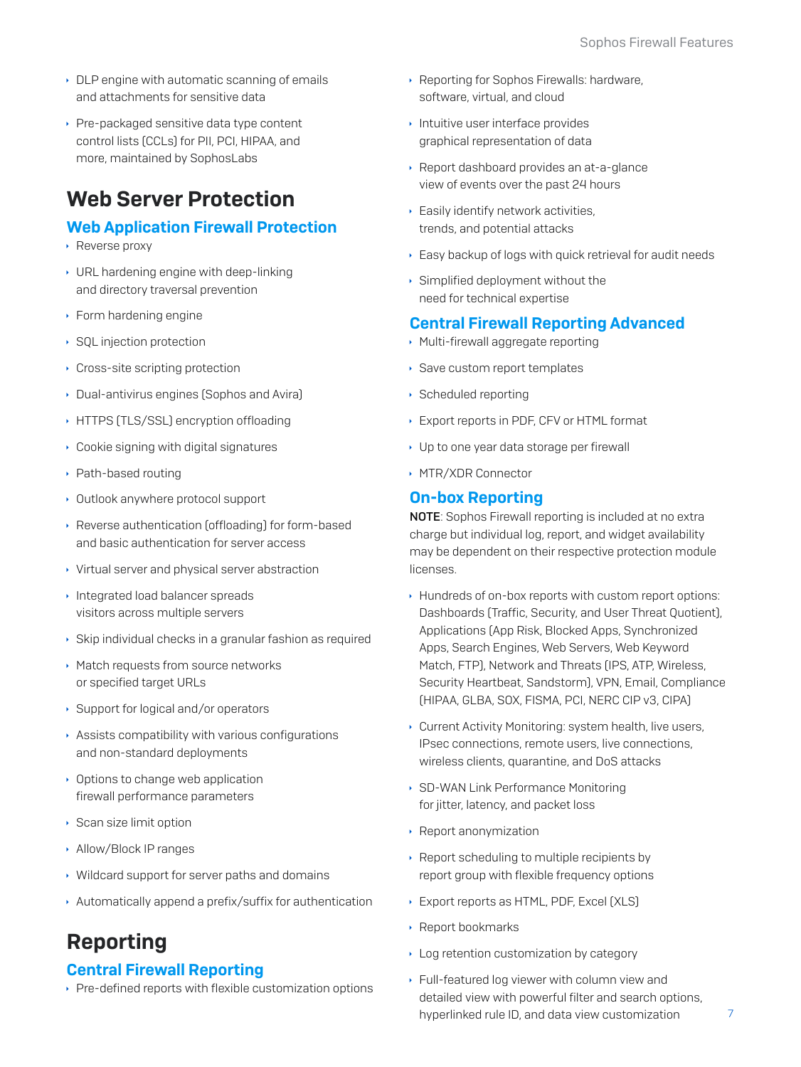- DLP engine with automatic scanning of emails and attachments for sensitive data
- ▶ Pre-packaged sensitive data type content control lists (CCLs) for PII, PCI, HIPAA, and more, maintained by SophosLabs

## **Web Server Protection**

#### **Web Application Firewall Protection**

- $\cdot$  Reverse proxy
- ▸ URL hardening engine with deep-linking and directory traversal prevention
- $\cdot$  Form hardening engine
- ▶ SQL injection protection
- ▸ Cross-site scripting protection
- Dual-antivirus engines (Sophos and Avira)
- HTTPS (TLS/SSL) encryption offloading
- Cookie signing with digital signatures
- ▶ Path-based routing
- Outlook anywhere protocol support
- ▶ Reverse authentication [offloading] for form-based and basic authentication for server access
- ▸ Virtual server and physical server abstraction
- Integrated load balancer spreads visitors across multiple servers
- ▶ Skip individual checks in a granular fashion as required
- ▶ Match requests from source networks or specified target URLs
- ▶ Support for logical and/or operators
- Assists compatibility with various configurations and non-standard deployments
- Options to change web application firewall performance parameters
- ▶ Scan size limit option
- Allow/Block IP ranges
- ▸ Wildcard support for server paths and domains
- Automatically append a prefix/suffix for authentication

## **Reporting**

#### **Central Firewall Reporting**

▶ Pre-defined reports with flexible customization options

- Reporting for Sophos Firewalls: hardware, software, virtual, and cloud
- Intuitive user interface provides graphical representation of data
- Report dashboard provides an at-a-glance view of events over the past 24 hours
- Easily identify network activities, trends, and potential attacks
- Easy backup of logs with quick retrieval for audit needs
- Simplified deployment without the need for technical expertise

#### **Central Firewall Reporting Advanced**

- Multi-firewall aggregate reporting
- Save custom report templates
- ▶ Scheduled reporting
- Export reports in PDF, CFV or HTML format
- ▶ Up to one year data storage per firewall
- ▶ MTR/XDR Connector

#### **On-box Reporting**

NOTE: Sophos Firewall reporting is included at no extra charge but individual log, report, and widget availability may be dependent on their respective protection module licenses.

- Hundreds of on-box reports with custom report options: Dashboards (Traffic, Security, and User Threat Quotient), Applications (App Risk, Blocked Apps, Synchronized Apps, Search Engines, Web Servers, Web Keyword Match, FTP), Network and Threats (IPS, ATP, Wireless, Security Heartbeat, Sandstorm), VPN, Email, Compliance [HIPAA, GLBA, SOX, FISMA, PCI, NERC CIP v3, CIPA]
- Current Activity Monitoring: system health, live users, IPsec connections, remote users, live connections, wireless clients, quarantine, and DoS attacks
- > SD-WAN Link Performance Monitoring for jitter, latency, and packet loss
- ▶ Report anonymization
- ▶ Report scheduling to multiple recipients by report group with flexible frequency options
- > Export reports as HTML, PDF, Excel (XLS)
- ▶ Report bookmarks
- Log retention customization by category
- ▶ Full-featured log viewer with column view and detailed view with powerful filter and search options, hyperlinked rule ID, and data view customization